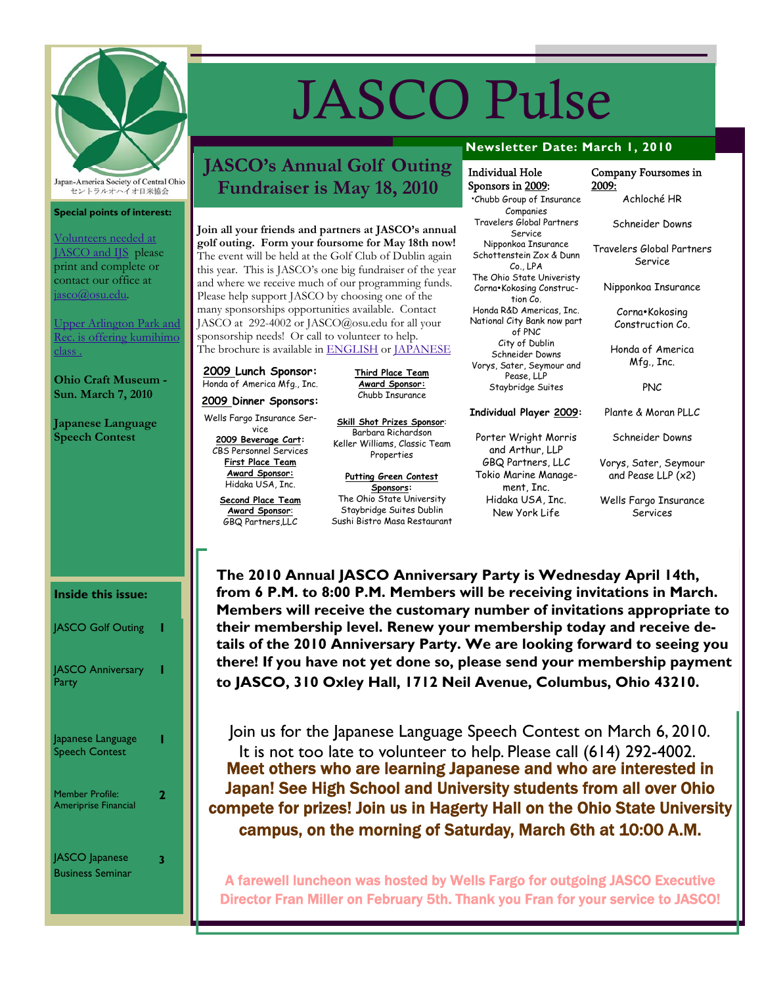

Japan-America Society of Central Ohio セントラルオハイオ日米協会

#### **Special points of interest:**

Volunteers needed at JASCO and IJS please print and complete or contact our office at jasco@osu.edu.

Upper Arlington Park and Rec. is offering kumihimo class .

**Ohio Craft Museum - Sun. March 7, 2010** 

**Japanese Language Speech Contest** 

# JASCO Pulse

Individual Hole Sponsors in 2009: •Chubb Group of Insurance Companies Travelers Global Partners Service Nipponkoa Insurance Schottenstein Zox & Dunn Co., LPA The Ohio State Univeristy Corna•Kokosing Construction Co. Honda R&D Americas, Inc. National City Bank now part of PNC City of Dublin Schneider Downs Vorys, Sater, Seymour and Pease, LLP Staybridge Suites

**Individual Player 2009:** 

Porter Wright Morris and Arthur, LLP GBQ Partners, LLC Tokio Marine Management, Inc. Hidaka USA, Inc. New York Life

### **JASCO's Annual Golf Outing Fundraiser is May 18, 2010**

Join all your friends and partners at JASCO's annual **golf outing. Form your foursome for May 18th now!**  The event will be held at the Golf Club of Dublin again this year. This is JASCO's one big fundraiser of the year and where we receive much of our programming funds. Please help support JASCO by choosing one of the many sponsorships opportunities available. Contact JASCO at 292-4002 or JASCO@osu.edu for all your sponsorship needs! Or call to volunteer to help.

The brochure is available in **ENGLISH** or **JAPANESE** 

**2009 Lunch Sponsor:**  Honda of America Mfg., Inc.

Wells Fargo Insurance Ser-

**2009 Beverage Cart:**  CBS Personnel Services **First Place Team Award Sponsor:** Hidaka USA, Inc.

**Award Sponsor**:

**Third Place Team Award Sponsor:** Chubb Insurance

**Skill Shot Prizes Sponsor**: Barbara Richardson Keller Williams, Classic Team Properties

**Putting Green Contest Sponsors:**  The Ohio State University Staybridge Suites Dublin Sushi Bistro Masa Restaurant **Newsletter Date: March 1, 2010** 

#### Company Foursomes in 2009:

Achloché HR

Schneider Downs

Travelers Global Partners Service

Nipponkoa Insurance

Corna•Kokosing Construction Co.

Honda of America Mfg., Inc.

PNC

Plante & Moran PLLC

Schneider Downs

Vorys, Sater, Seymour and Pease LLP (x2)

Wells Fargo Insurance Services

**Inside this issue:** 

| <b>JASCO Golf Outing</b>                              |  |
|-------------------------------------------------------|--|
| <b>JASCO Anniversary</b><br>Party                     |  |
| Japanese Language<br><b>Speech Contest</b>            |  |
| <b>Member Profile:</b><br><b>Ameriprise Financial</b> |  |
| JASCO Japanese<br><b>Business Seminar</b>             |  |

**The 2010 Annual JASCO Anniversary Party is Wednesday April 14th, from 6 P.M. to 8:00 P.M. Members will be receiving invitations in March. Members will receive the customary number of invitations appropriate to their membership level. Renew your membership today and receive details of the 2010 Anniversary Party. We are looking forward to seeing you there! If you have not yet done so, please send your membership payment to JASCO, 310 Oxley Hall, 1712 Neil Avenue, Columbus, Ohio 43210.** 

 Join us for the Japanese Language Speech Contest on March 6, 2010. It is not too late to volunteer to help. Please call (614) 292-4002. Meet others who are learning Japanese and who are interested in Japan! See High School and University students from all over Ohio compete for prizes! Join us in Hagerty Hall on the Ohio State University campus, on the morning of Saturday, March 6th at 10:00 A.M.

A farewell luncheon was hosted by Wells Fargo for outgoing JASCO Executive Director Fran Miller on February 5th. Thank you Fran for your service to JASCO!

**2009 Dinner Sponsors:**

vice

**Second Place Team**  GBQ Partners,LLC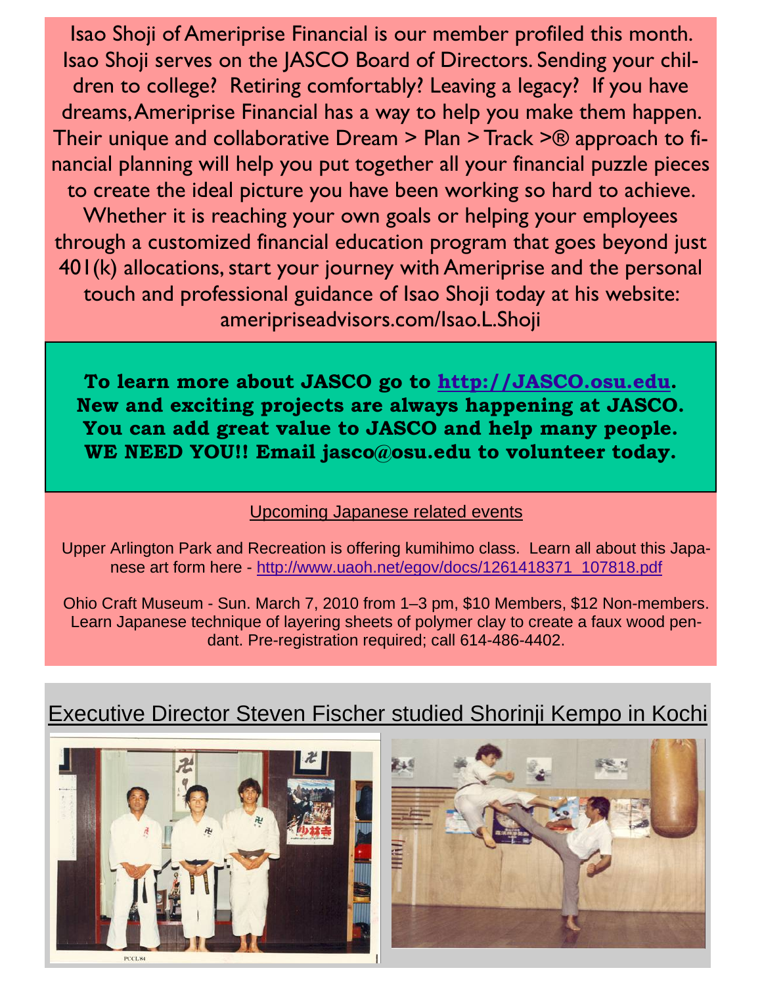Isao Shoji of Ameriprise Financial is our member profiled this month. Isao Shoji serves on the JASCO Board of Directors. Sending your children to college? Retiring comfortably? Leaving a legacy? If you have dreams, Ameriprise Financial has a way to help you make them happen. Their unique and collaborative Dream > Plan > Track >® approach to financial planning will help you put together all your financial puzzle pieces to create the ideal picture you have been working so hard to achieve. Whether it is reaching your own goals or helping your employees through a customized financial education program that goes beyond just 401(k) allocations, start your journey with Ameriprise and the personal touch and professional guidance of Isao Shoji today at his website: ameripriseadvisors.com/Isao.L.Shoji

**To learn more about JASCO go to http://JASCO.osu.edu. New and exciting projects are always happening at JASCO. You can add great value to JASCO and help many people. WE NEED YOU!! Email jasco@osu.edu to volunteer today.** 

#### Upcoming Japanese related events

Upper Arlington Park and Recreation is offering kumihimo class. Learn all about this Japanese art form here - http://www.uaoh.net/egov/docs/1261418371\_107818.pdf

Ohio Craft Museum - Sun. March 7, 2010 from 1–3 pm, \$10 Members, \$12 Non-members. Learn Japanese technique of layering sheets of polymer clay to create a faux wood pendant. Pre-registration required; call 614-486-4402.





## Executive Director Steven Fischer studied Shorinji Kempo in Kochi